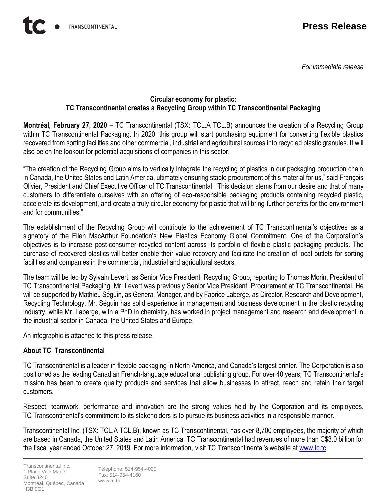*For immediate release*

## **Circular economy for plastic: TC Transcontinental creates a Recycling Group within TC Transcontinental Packaging**

**Montréal, February 27, 2020** – TC Transcontinental (TSX: TCL.A TCL.B) announces the creation of a Recycling Group within TC Transcontinental Packaging. In 2020, this group will start purchasing equipment for converting flexible plastics recovered from sorting facilities and other commercial, industrial and agricultural sources into recycled plastic granules. It will also be on the lookout for potential acquisitions of companies in this sector.

"The creation of the Recycling Group aims to vertically integrate the recycling of plastics in our packaging production chain in Canada, the United States and Latin America, ultimately ensuring stable procurement of this material for us," said François Olivier, President and Chief Executive Officer of TC Transcontinental. "This decision stems from our desire and that of many customers to differentiate ourselves with an offering of eco-responsible packaging products containing recycled plastic, accelerate its development, and create a truly circular economy for plastic that will bring further benefits for the environment and for communities."

The establishment of the Recycling Group will contribute to the achievement of TC Transcontinental's objectives as a signatory of the Ellen MacArthur Foundation's New Plastics Economy Global Commitment. One of the Corporation's objectives is to increase post-consumer recycled content across its portfolio of flexible plastic packaging products. The purchase of recovered plastics will better enable their value recovery and facilitate the creation of local outlets for sorting facilities and companies in the commercial, industrial and agricultural sectors.

The team will be led by Sylvain Levert, as Senior Vice President, Recycling Group, reporting to Thomas Morin, President of TC Transcontinental Packaging. Mr. Levert was previously Senior Vice President, Procurement at TC Transcontinental. He will be supported by Mathieu Séguin, as General Manager, and by Fabrice Laberge, as Director, Research and Development, Recycling Technology. Mr. Séguin has solid experience in management and business development in the plastic recycling industry, while Mr. Laberge, with a PhD in chemistry, has worked in project management and research and development in the industrial sector in Canada, the United States and Europe.

An infographic is attached to this press release.

## **About TC Transcontinental**

TC Transcontinental is a leader in flexible packaging in North America, and Canada's largest printer. The Corporation is also positioned as the leading Canadian French-language educational publishing group. For over 40 years, TC Transcontinental's mission has been to create quality products and services that allow businesses to attract, reach and retain their target customers.

Respect, teamwork, performance and innovation are the strong values held by the Corporation and its employees. TC Transcontinental's commitment to its stakeholders is to pursue its business activities in a responsible manner.

Transcontinental Inc. (TSX: TCL.A TCL.B), known as TC Transcontinental, has over 8,700 employees, the majority of which are based in Canada, the United States and Latin America. TC Transcontinental had revenues of more than C\$3.0 billion for the fiscal year ended October 27, 2019. For more information, visit TC Transcontinental's website a[t www.tc.tc](http://www.tc.tc/)

Telephone: 514-954-4000 Fax: 514-954-4160 www.tc.tc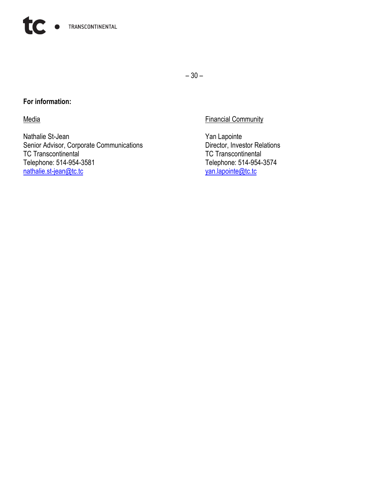

– 30 –

## **For information:**

Nathalie St-Jean<br>
Senior Advisor, Corporate Communications<br>
Director, Investor Relations Senior Advisor, Corporate Communications<br>
TC Transcontinental
TC Transcontinental
TC Transcontinental

TC Transcontinental
TC Transcontinental
TC Transcontinental

TC Transcontinental

TC Transcontinental

TC Transcontinen TC Transcontinental<br>Telephone: 514-954-3581 [nathalie.st-jean@tc.tc](mailto:nathalie.st-jean@tc.tc)

Media **Financial Community** 

Telephone: 514-954-3574<br>
<u>van.lapointe@tc.tc</u>